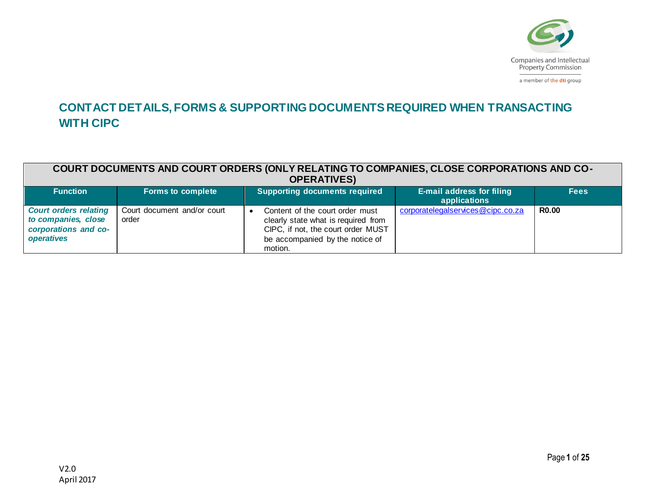

a member of the dti group

## **CONTACT DETAILS, FORMS & SUPPORTING DOCUMENTS REQUIRED WHEN TRANSACTING WITH CIPC**

| COURT DOCUMENTS AND COURT ORDERS (ONLY RELATING TO COMPANIES, CLOSE CORPORATIONS AND CO-<br><b>OPERATIVES)</b> |                                      |                                                                                                                                                            |                                                  |              |
|----------------------------------------------------------------------------------------------------------------|--------------------------------------|------------------------------------------------------------------------------------------------------------------------------------------------------------|--------------------------------------------------|--------------|
| <b>Function</b>                                                                                                | <b>Forms to complete</b>             | <b>Supporting documents required</b>                                                                                                                       | <b>E-mail address for filing</b><br>applications | <b>Fees</b>  |
| <b>Court orders relating</b><br>to companies, close<br>corporations and co-<br>operatives                      | Court document and/or court<br>order | Content of the court order must<br>clearly state what is required from<br>CIPC, if not, the court order MUST<br>be accompanied by the notice of<br>motion. | corporatelegalservices@cipc.co.za                | <b>R0.00</b> |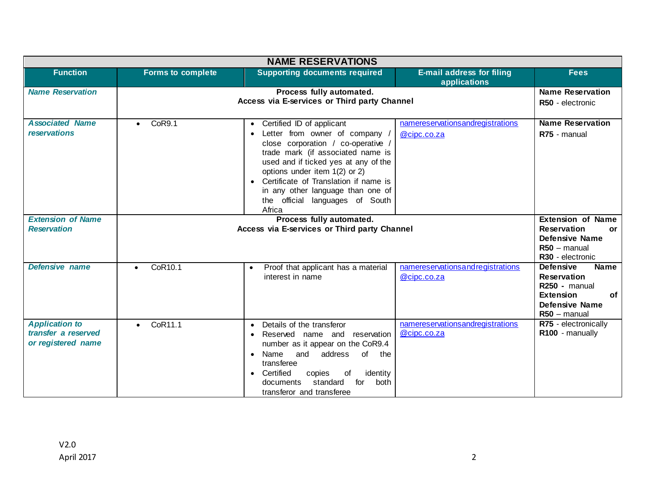| <b>NAME RESERVATIONS</b>                                           |                                                                          |                                                                                                                                                                                                                                                                                                                                                                                   |                                                  |                                                                                                                                               |  |
|--------------------------------------------------------------------|--------------------------------------------------------------------------|-----------------------------------------------------------------------------------------------------------------------------------------------------------------------------------------------------------------------------------------------------------------------------------------------------------------------------------------------------------------------------------|--------------------------------------------------|-----------------------------------------------------------------------------------------------------------------------------------------------|--|
| <b>Function</b>                                                    | <b>Forms to complete</b>                                                 | <b>Supporting documents required</b>                                                                                                                                                                                                                                                                                                                                              | <b>E-mail address for filing</b><br>applications | <b>Fees</b>                                                                                                                                   |  |
| <b>Name Reservation</b>                                            |                                                                          | Process fully automated.<br>Access via E-services or Third party Channel                                                                                                                                                                                                                                                                                                          |                                                  | <b>Name Reservation</b><br>R50 - electronic                                                                                                   |  |
| <b>Associated Name</b><br>reservations                             | CoR9.1<br>$\bullet$                                                      | Certified ID of applicant<br>$\bullet$<br>Letter from owner of company /<br>$\bullet$<br>close corporation / co-operative /<br>trade mark (if associated name is<br>used and if ticked yes at any of the<br>options under item 1(2) or 2)<br>Certificate of Translation if name is<br>$\bullet$<br>in any other language than one of<br>the official languages of South<br>Africa | namereservationsandregistrations<br>@cipc.co.za  | <b>Name Reservation</b><br>R75 - manual                                                                                                       |  |
| <b>Extension of Name</b><br><b>Reservation</b>                     | Process fully automated.<br>Access via E-services or Third party Channel |                                                                                                                                                                                                                                                                                                                                                                                   |                                                  | <b>Extension of Name</b><br><b>Reservation</b><br><b>or</b><br>Defensive Name<br>$R50 -$ manual<br>R30 - electronic                           |  |
| Defensive name                                                     | CoR10.1<br>$\bullet$                                                     | Proof that applicant has a material<br>$\bullet$<br>interest in name                                                                                                                                                                                                                                                                                                              | namereservationsandregistrations<br>@cipc.co.za  | <b>Name</b><br><b>Defensive</b><br><b>Reservation</b><br>$R250 -$ manual<br><b>Extension</b><br><b>of</b><br>Defensive Name<br>$R50 -$ manual |  |
| <b>Application to</b><br>transfer a reserved<br>or registered name | CoR11.1                                                                  | Details of the transferor<br>$\bullet$<br>Reserved name and reservation<br>$\bullet$<br>number as it appear on the CoR9.4<br>and address<br>Name<br>of the<br>$\bullet$<br>transferee<br>Certified<br>of<br>identity<br>copies<br>$\bullet$<br>standard<br>documents<br>for<br>both<br>transferor and transferee                                                                  | namereservationsandregistrations<br>@cipc.co.za  | R75 - electronically<br>R100 - manually                                                                                                       |  |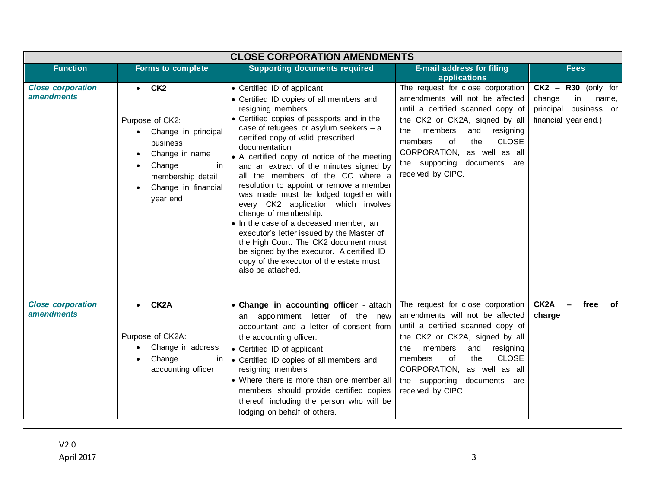|                                               | <b>CLOSE CORPORATION AMENDMENTS</b>                                                                                                                           |                                                                                                                                                                                                                                                                                                                                                                                                                                                                                                                                                                                                                                                                                                                                                                                |                                                                                                                                                                                                                                                                                                                     |                                                                                                    |  |
|-----------------------------------------------|---------------------------------------------------------------------------------------------------------------------------------------------------------------|--------------------------------------------------------------------------------------------------------------------------------------------------------------------------------------------------------------------------------------------------------------------------------------------------------------------------------------------------------------------------------------------------------------------------------------------------------------------------------------------------------------------------------------------------------------------------------------------------------------------------------------------------------------------------------------------------------------------------------------------------------------------------------|---------------------------------------------------------------------------------------------------------------------------------------------------------------------------------------------------------------------------------------------------------------------------------------------------------------------|----------------------------------------------------------------------------------------------------|--|
| <b>Function</b>                               | <b>Forms to complete</b>                                                                                                                                      | <b>Supporting documents required</b>                                                                                                                                                                                                                                                                                                                                                                                                                                                                                                                                                                                                                                                                                                                                           | <b>E-mail address for filing</b><br>applications                                                                                                                                                                                                                                                                    | <b>Fees</b>                                                                                        |  |
| <b>Close corporation</b><br><i>amendments</i> | $\bullet$ CK2<br>Purpose of CK2:<br>Change in principal<br>business<br>Change in name<br>Change<br>ın<br>membership detail<br>Change in financial<br>year end | • Certified ID of applicant<br>• Certified ID copies of all members and<br>resigning members<br>• Certified copies of passports and in the<br>case of refugees or asylum seekers - a<br>certified copy of valid prescribed<br>documentation.<br>• A certified copy of notice of the meeting<br>and an extract of the minutes signed by<br>all the members of the CC where a<br>resolution to appoint or remove a member<br>was made must be lodged together with<br>every CK2 application which involves<br>change of membership.<br>• In the case of a deceased member, an<br>executor's letter issued by the Master of<br>the High Court. The CK2 document must<br>be signed by the executor. A certified ID<br>copy of the executor of the estate must<br>also be attached. | The request for close corporation<br>amendments will not be affected<br>until a certified scanned copy of<br>the CK2 or CK2A, signed by all<br>members<br>and<br>resigning<br>the<br><b>CLOSE</b><br>the<br>members<br>0f<br>CORPORATION,<br>as well as all<br>the supporting documents are<br>received by CIPC.    | $CK2 -$<br>R30 (only for<br>in<br>change<br>name,<br>principal business or<br>financial year end.) |  |
| <b>Close corporation</b><br>amendments        | CK <sub>2</sub> A<br>$\bullet$<br>Purpose of CK2A:<br>Change in address<br>Change<br>ın<br>accounting officer                                                 | • Change in accounting officer - attach<br>appointment letter of the new<br>an<br>accountant and a letter of consent from<br>the accounting officer.<br>• Certified ID of applicant<br>• Certified ID copies of all members and<br>resigning members<br>• Where there is more than one member all<br>members should provide certified copies<br>thereof, including the person who will be<br>lodging on behalf of others.                                                                                                                                                                                                                                                                                                                                                      | The request for close corporation<br>amendments will not be affected<br>until a certified scanned copy of<br>the CK2 or CK2A, signed by all<br>members<br>and<br>resigning<br>the<br><b>CLOSE</b><br>members<br>the<br>οf<br>CORPORATION,<br>as well as all<br>the supporting<br>documents are<br>received by CIPC. | CK <sub>2</sub> A<br>free<br>of<br>charge                                                          |  |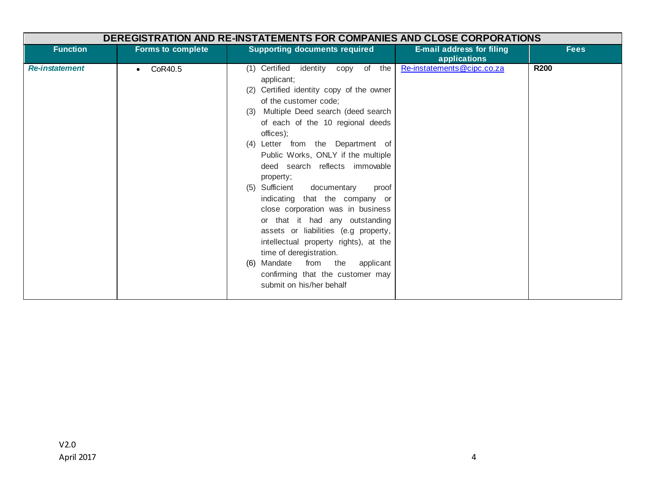| <b>DEREGISTRATION AND RE-INSTATEMENTS FOR COMPANIES AND CLOSE CORPORATIONS</b> |                          |                                                                                                                                                                                                                                                                                                                                                                                                                                                                                                                                                                                                                                                                                                                        |                                                  |             |
|--------------------------------------------------------------------------------|--------------------------|------------------------------------------------------------------------------------------------------------------------------------------------------------------------------------------------------------------------------------------------------------------------------------------------------------------------------------------------------------------------------------------------------------------------------------------------------------------------------------------------------------------------------------------------------------------------------------------------------------------------------------------------------------------------------------------------------------------------|--------------------------------------------------|-------------|
| <b>Function</b>                                                                | <b>Forms to complete</b> | <b>Supporting documents required</b>                                                                                                                                                                                                                                                                                                                                                                                                                                                                                                                                                                                                                                                                                   | <b>E-mail address for filing</b><br>applications | <b>Fees</b> |
| <b>Re-instatement</b>                                                          | CoR40.5<br>$\bullet$     | (1) Certified identity copy of the<br>applicant;<br>Certified identity copy of the owner<br>(2)<br>of the customer code;<br>(3) Multiple Deed search (deed search<br>of each of the 10 regional deeds<br>offices);<br>(4) Letter from the Department of<br>Public Works, ONLY if the multiple<br>deed search reflects immovable<br>property;<br>Sufficient<br>documentary<br>(5)<br>proof<br>indicating that the company or<br>close corporation was in business<br>or that it had any outstanding<br>assets or liabilities (e.g property,<br>intellectual property rights), at the<br>time of deregistration.<br>Mandate from the<br>applicant<br>(6)<br>confirming that the customer may<br>submit on his/her behalf | Re-instatements@cipc.co.za                       | <b>R200</b> |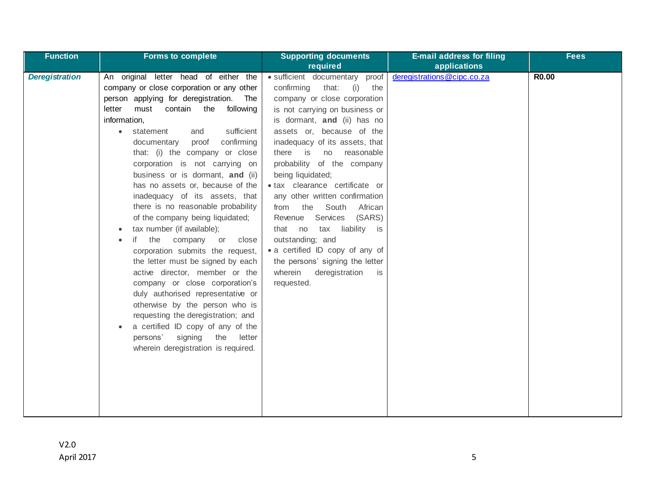| <b>Function</b>       | <b>Forms to complete</b>                                                                                                                                                                                                                                                                                                                                                                                                                                                                                                                                                                                                                                                                                                                                                                                                                                                                                                                                                    | <b>Supporting documents</b>                                                                                                                                                                                                                                                                                                                                                                                                                                                                                                                                                                                                                       | <b>E-mail address for filing</b> | <b>Fees</b>  |
|-----------------------|-----------------------------------------------------------------------------------------------------------------------------------------------------------------------------------------------------------------------------------------------------------------------------------------------------------------------------------------------------------------------------------------------------------------------------------------------------------------------------------------------------------------------------------------------------------------------------------------------------------------------------------------------------------------------------------------------------------------------------------------------------------------------------------------------------------------------------------------------------------------------------------------------------------------------------------------------------------------------------|---------------------------------------------------------------------------------------------------------------------------------------------------------------------------------------------------------------------------------------------------------------------------------------------------------------------------------------------------------------------------------------------------------------------------------------------------------------------------------------------------------------------------------------------------------------------------------------------------------------------------------------------------|----------------------------------|--------------|
|                       |                                                                                                                                                                                                                                                                                                                                                                                                                                                                                                                                                                                                                                                                                                                                                                                                                                                                                                                                                                             | required                                                                                                                                                                                                                                                                                                                                                                                                                                                                                                                                                                                                                                          | applications                     |              |
| <b>Deregistration</b> | An original letter head of either the<br>company or close corporation or any other<br>person applying for deregistration.<br>The<br>must<br>the<br>following<br>letter<br>contain<br>information,<br>sufficient<br>statement<br>and<br>confirming<br>documentary<br>proof<br>that: (i) the company or close<br>corporation is not carrying on<br>business or is dormant, and (ii)<br>has no assets or, because of the<br>inadequacy of its assets, that<br>there is no reasonable probability<br>of the company being liquidated;<br>tax number (if available);<br>if the company or<br>close<br>corporation submits the request,<br>the letter must be signed by each<br>active director, member or the<br>company or close corporation's<br>duly authorised representative or<br>otherwise by the person who is<br>requesting the deregistration; and<br>a certified ID copy of any of the<br>persons'<br>signing<br>the<br>letter<br>wherein deregistration is required. | · sufficient documentary proof<br>confirming<br>that:<br>(i)<br>the<br>company or close corporation<br>is not carrying on business or<br>is dormant, and (ii) has no<br>assets or, because of the<br>inadequacy of its assets, that<br>there<br>is is<br>no<br>reasonable<br>probability of the company<br>being liquidated;<br>· tax clearance certificate or<br>any other written confirmation<br>the<br>South<br>African<br>from<br>Services<br>(SARS)<br>Revenue<br>liability is<br>that no<br>tax<br>outstanding; and<br>• a certified ID copy of any of<br>the persons' signing the letter<br>wherein<br>deregistration<br>is<br>requested. | deregistrations@cipc.co.za       | <b>R0.00</b> |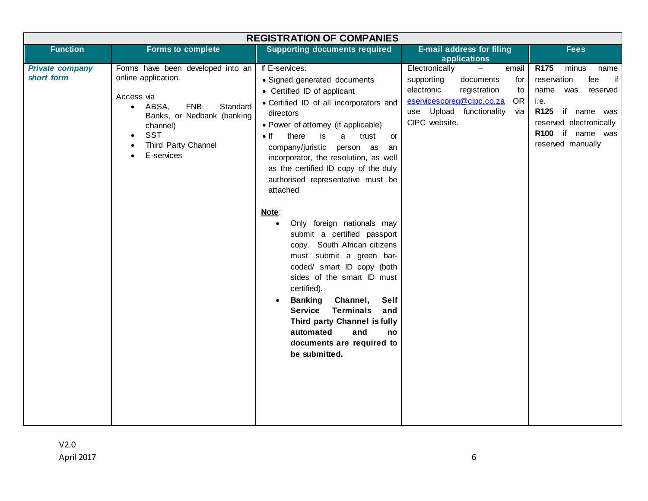| <b>REGISTRATION OF COMPANIES</b>     |                                                                                                                                                                                                                                         |                                                                                                                                                                                                                                                                                                                                                                                                                                                                                                                                                                                                                                                                                                                                                                                                                                                   |                                                                                                                                                                                                              |                                                                                                                                                                                                    |  |
|--------------------------------------|-----------------------------------------------------------------------------------------------------------------------------------------------------------------------------------------------------------------------------------------|---------------------------------------------------------------------------------------------------------------------------------------------------------------------------------------------------------------------------------------------------------------------------------------------------------------------------------------------------------------------------------------------------------------------------------------------------------------------------------------------------------------------------------------------------------------------------------------------------------------------------------------------------------------------------------------------------------------------------------------------------------------------------------------------------------------------------------------------------|--------------------------------------------------------------------------------------------------------------------------------------------------------------------------------------------------------------|----------------------------------------------------------------------------------------------------------------------------------------------------------------------------------------------------|--|
| <b>Function</b>                      | <b>Forms to complete</b>                                                                                                                                                                                                                | <b>Supporting documents required</b>                                                                                                                                                                                                                                                                                                                                                                                                                                                                                                                                                                                                                                                                                                                                                                                                              | <b>E-mail address for filing</b><br>applications                                                                                                                                                             | <b>Fees</b>                                                                                                                                                                                        |  |
| <b>Private company</b><br>short form | Forms have been developed into an<br>online application.<br>Access via<br>FNB.<br>ABSA,<br>Standard<br>$\bullet$<br>Banks, or Nedbank (banking<br>channel)<br><b>SST</b><br>$\bullet$<br>Third Party Channel<br>$\bullet$<br>E-services | If E-services:<br>• Signed generated documents<br>• Certified ID of applicant<br>• Certified ID of all incorporators and<br>directors<br>• Power of attorney (if applicable)<br>$\bullet$ If<br>there<br>is<br>a<br>trust<br>or<br>company/juristic<br>person as<br>an<br>incorporator, the resolution, as well<br>as the certified ID copy of the duly<br>authorised representative must be<br>attached<br>Note:<br>Only foreign nationals may<br>$\bullet$<br>submit a certified passport<br>copy. South African citizens<br>must submit a green bar-<br>coded/ smart ID copy (both<br>sides of the smart ID must<br>certified).<br><b>Banking</b><br>Channel,<br><b>Self</b><br>$\bullet$<br><b>Service</b><br><b>Terminals</b><br>and<br>Third party Channel is fully<br>automated<br>and<br>no<br>documents are required to<br>be submitted. | Electronically<br>email<br>$\qquad \qquad -$<br>supporting<br>documents<br>for<br>electronic<br>registration<br>to<br>eservicescoreg@cipc.co.za<br>OR.<br>use Upload<br>functionality<br>ма<br>CIPC website. | R <sub>175</sub><br>minus<br>name<br>if<br>fee<br>reservation<br>name<br>was<br>reserved<br>i.e.<br><b>R125</b><br>if name was<br>reserved electronically<br>R100 if name was<br>reserved manually |  |
|                                      |                                                                                                                                                                                                                                         |                                                                                                                                                                                                                                                                                                                                                                                                                                                                                                                                                                                                                                                                                                                                                                                                                                                   |                                                                                                                                                                                                              |                                                                                                                                                                                                    |  |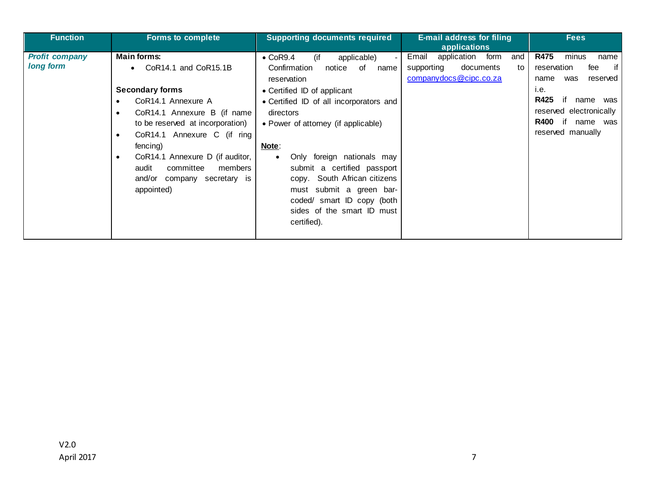| <b>Function</b>                    | <b>Forms to complete</b>                                                                                                                                                                                                                                                                                                                                    | <b>Supporting documents required</b>                                                                                                                                                                                                                                                                                                                                                                                                                     | <b>E-mail address for filing</b><br>applications                                            | <b>Fees</b>                                                                                                                                                                                      |
|------------------------------------|-------------------------------------------------------------------------------------------------------------------------------------------------------------------------------------------------------------------------------------------------------------------------------------------------------------------------------------------------------------|----------------------------------------------------------------------------------------------------------------------------------------------------------------------------------------------------------------------------------------------------------------------------------------------------------------------------------------------------------------------------------------------------------------------------------------------------------|---------------------------------------------------------------------------------------------|--------------------------------------------------------------------------------------------------------------------------------------------------------------------------------------------------|
| <b>Profit company</b><br>long form | <b>Main forms:</b><br>CoR14.1 and CoR15.1B<br>$\bullet$<br><b>Secondary forms</b><br>CoR14.1 Annexure A<br>CoR14.1 Annexure B (if name<br>to be reserved at incorporation)<br>CoR14.1 Annexure C (if ring<br>٠<br>fencing)<br>CoR14.1 Annexure D (if auditor,<br>$\bullet$<br>audit<br>committee<br>members<br>and/or<br>company secretary is<br>appointed) | (if<br>$\bullet$ CoR9.4<br>applicable)<br>Confirmation<br>of<br>notice<br>name<br>reservation<br>• Certified ID of applicant<br>• Certified ID of all incorporators and<br>directors<br>• Power of attorney (if applicable)<br>Note:<br>Only foreign nationals may<br>$\bullet$<br>submit a certified passport<br>copy. South African citizens<br>submit a green bar-<br>must<br>coded/ smart ID copy (both<br>sides of the smart ID must<br>certified). | application form<br>and<br>Email<br>supporting<br>documents<br>to<br>companydocs@cipc.co.za | <b>R475</b><br>minus<br>name<br>if<br>reservation<br>fee<br>reserved<br>was<br>name<br>i.e.<br>R425<br>name<br>was<br>reserved electronically<br><b>R400</b><br>name<br>was<br>reserved manually |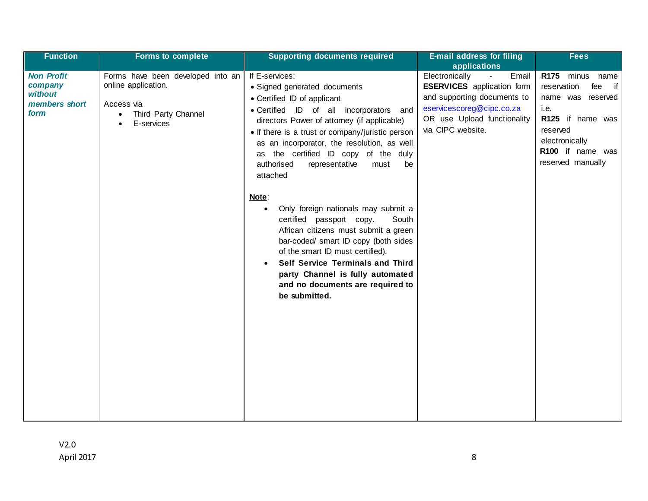| <b>Function</b>                                                  | <b>Forms to complete</b>                                                                                    | <b>Supporting documents required</b>                                                                                                                                                                                                                                                                                                                                                                                                                                                                                                                                                                                                                                                                                                  | <b>E-mail address for filing</b>                                                                                                                                                               | <b>Fees</b>                                                                                                                                                                        |
|------------------------------------------------------------------|-------------------------------------------------------------------------------------------------------------|---------------------------------------------------------------------------------------------------------------------------------------------------------------------------------------------------------------------------------------------------------------------------------------------------------------------------------------------------------------------------------------------------------------------------------------------------------------------------------------------------------------------------------------------------------------------------------------------------------------------------------------------------------------------------------------------------------------------------------------|------------------------------------------------------------------------------------------------------------------------------------------------------------------------------------------------|------------------------------------------------------------------------------------------------------------------------------------------------------------------------------------|
|                                                                  |                                                                                                             |                                                                                                                                                                                                                                                                                                                                                                                                                                                                                                                                                                                                                                                                                                                                       | applications                                                                                                                                                                                   |                                                                                                                                                                                    |
| <b>Non Profit</b><br>company<br>without<br>members short<br>form | Forms have been developed into an<br>online application.<br>Access via<br>Third Party Channel<br>E-services | If E-services:<br>• Signed generated documents<br>• Certified ID of applicant<br>• Certified ID of all incorporators<br>and<br>directors Power of attorney (if applicable)<br>• If there is a trust or company/juristic person<br>as an incorporator, the resolution, as well<br>the certified ID copy of the duly<br>as<br>authorised<br>representative<br>must<br>be<br>attached<br>Note:<br>Only foreign nationals may submit a<br>$\bullet$<br>South<br>certified passport copy.<br>African citizens must submit a green<br>bar-coded/ smart ID copy (both sides<br>of the smart ID must certified).<br>Self Service Terminals and Third<br>party Channel is fully automated<br>and no documents are required to<br>be submitted. | Electronically<br>Email<br>$\blacksquare$<br><b>ESERVICES</b> application form<br>and supporting documents to<br>eservicescoreg@cipc.co.za<br>OR use Upload functionality<br>via CIPC website. | R <sub>175</sub><br>minus name<br>reservation<br>fee<br>if<br>name was reserved<br>i.e.<br>R125 if name was<br>reserved<br>electronically<br>R100 if name was<br>reserved manually |
|                                                                  |                                                                                                             |                                                                                                                                                                                                                                                                                                                                                                                                                                                                                                                                                                                                                                                                                                                                       |                                                                                                                                                                                                |                                                                                                                                                                                    |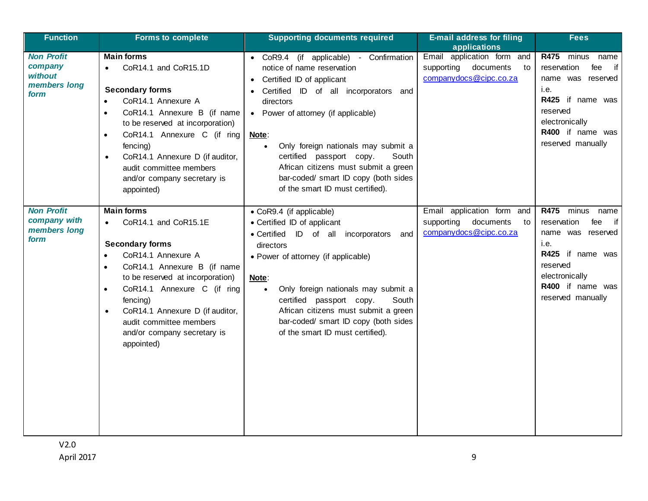| <b>Function</b>                                                 | <b>Forms to complete</b>                                                                                                                                                                                                                                                                                                                                               | <b>Supporting documents required</b>                                                                                                                                                                                                                                                                                                                                                                                     | <b>E-mail address for filing</b><br>applications                                      | <b>Fees</b>                                                                                                                                                                      |
|-----------------------------------------------------------------|------------------------------------------------------------------------------------------------------------------------------------------------------------------------------------------------------------------------------------------------------------------------------------------------------------------------------------------------------------------------|--------------------------------------------------------------------------------------------------------------------------------------------------------------------------------------------------------------------------------------------------------------------------------------------------------------------------------------------------------------------------------------------------------------------------|---------------------------------------------------------------------------------------|----------------------------------------------------------------------------------------------------------------------------------------------------------------------------------|
| <b>Non Profit</b><br>company<br>without<br>members long<br>form | <b>Main forms</b><br>CoR14.1 and CoR15.1D<br><b>Secondary forms</b><br>CoR14.1 Annexure A<br>CoR14.1 Annexure B (if name<br>to be reserved at incorporation)<br>CoR14.1 Annexure C (if ring<br>$\bullet$<br>fencing)<br>CoR14.1 Annexure D (if auditor,<br>$\bullet$<br>audit committee members<br>and/or company secretary is<br>appointed)                           | • CoR9.4 (if applicable) - Confirmation<br>notice of name reservation<br>Certified ID of applicant<br>Certified ID of all incorporators<br>and<br>directors<br>• Power of attorney (if applicable)<br>Note:<br>Only foreign nationals may submit a<br>$\bullet$<br>certified passport copy.<br>South<br>African citizens must submit a green<br>bar-coded/ smart ID copy (both sides<br>of the smart ID must certified). | Email application form and<br>documents<br>supporting<br>to<br>companydocs@cipc.co.za | <b>R475</b><br>minus<br>name<br>if<br>reservation<br>fee<br>name was reserved<br>i.e.<br>R425 if name was<br>reserved<br>electronically<br>R400 if name was<br>reserved manually |
| <b>Non Profit</b><br>company with<br>members long<br>form       | <b>Main forms</b><br>CoR14.1 and CoR15.1E<br>$\bullet$<br><b>Secondary forms</b><br>CoR14.1 Annexure A<br>CoR14.1 Annexure B (if name<br>$\bullet$<br>to be reserved at incorporation)<br>CoR14.1 Annexure C (if ring<br>$\bullet$<br>fencing)<br>CoR14.1 Annexure D (if auditor,<br>$\bullet$<br>audit committee members<br>and/or company secretary is<br>appointed) | • CoR9.4 (if applicable)<br>• Certified ID of applicant<br>• Certified ID of all incorporators<br>and<br>directors<br>• Power of attorney (if applicable)<br>Note:<br>Only foreign nationals may submit a<br>$\bullet$<br>certified passport copy.<br>South<br>African citizens must submit a green<br>bar-coded/ smart ID copy (both sides<br>of the smart ID must certified).                                          | Email application form and<br>supporting<br>documents<br>to<br>companydocs@cipc.co.za | <b>R475</b><br>minus<br>name<br>reservation<br>fee<br>if<br>name was reserved<br>i.e.<br>R425 if name was<br>reserved<br>electronically<br>R400 if name was<br>reserved manually |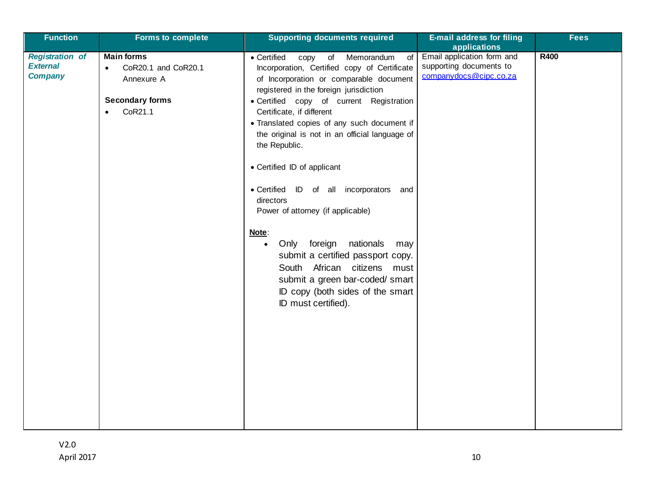| <b>Function</b>                                             | <b>Forms to complete</b>                                                                                              | <b>Supporting documents required</b>                                                                                                                                                                                                                                                                                                                                                                                                                                                                                                                                                                                                                                                                                                              | <b>E-mail address for filing</b><br>applications                                | <b>Fees</b> |
|-------------------------------------------------------------|-----------------------------------------------------------------------------------------------------------------------|---------------------------------------------------------------------------------------------------------------------------------------------------------------------------------------------------------------------------------------------------------------------------------------------------------------------------------------------------------------------------------------------------------------------------------------------------------------------------------------------------------------------------------------------------------------------------------------------------------------------------------------------------------------------------------------------------------------------------------------------------|---------------------------------------------------------------------------------|-------------|
| <b>Registration of</b><br><b>External</b><br><b>Company</b> | <b>Main forms</b><br>CoR20.1 and CoR20.1<br>$\bullet$<br>Annexure A<br><b>Secondary forms</b><br>CoR21.1<br>$\bullet$ | • Certified<br>Memorandum<br>copy<br>$\overline{f}$<br>of<br>Incorporation, Certified copy of Certificate<br>of Incorporation or comparable document<br>registered in the foreign jurisdiction<br>· Certified copy of current Registration<br>Certificate, if different<br>• Translated copies of any such document if<br>the original is not in an official language of<br>the Republic.<br>• Certified ID of applicant<br>• Certified ID of all incorporators and<br>directors<br>Power of attorney (if applicable)<br>Note:<br>Only foreign<br>nationals<br>may<br>$\bullet$<br>submit a certified passport copy.<br>South African citizens must<br>submit a green bar-coded/ smart<br>ID copy (both sides of the smart<br>ID must certified). | Email application form and<br>supporting documents to<br>companydocs@cipc.co.za | <b>R400</b> |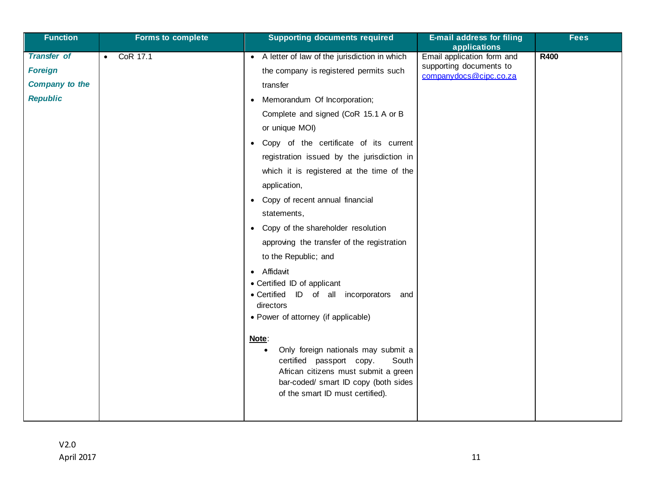| <b>Function</b>                                                                  | <b>Forms to complete</b> | <b>Supporting documents required</b>                                                                                                                                                                                                                                                                                                                                                                                                                                                                                                                                                                                                                                                                                                                                                                                                                                                                                                                              | <b>E-mail address for filing</b><br>applications                                | <b>Fees</b> |
|----------------------------------------------------------------------------------|--------------------------|-------------------------------------------------------------------------------------------------------------------------------------------------------------------------------------------------------------------------------------------------------------------------------------------------------------------------------------------------------------------------------------------------------------------------------------------------------------------------------------------------------------------------------------------------------------------------------------------------------------------------------------------------------------------------------------------------------------------------------------------------------------------------------------------------------------------------------------------------------------------------------------------------------------------------------------------------------------------|---------------------------------------------------------------------------------|-------------|
| <b>Transfer of</b><br><b>Foreign</b><br><b>Company to the</b><br><b>Republic</b> | CoR 17.1<br>$\bullet$    | A letter of law of the jurisdiction in which<br>$\bullet$<br>the company is registered permits such<br>transfer<br>Memorandum Of Incorporation;<br>$\bullet$<br>Complete and signed (CoR 15.1 A or B<br>or unique MOI)<br>Copy of the certificate of its current<br>$\bullet$<br>registration issued by the jurisdiction in<br>which it is registered at the time of the<br>application,<br>Copy of recent annual financial<br>$\bullet$<br>statements,<br>Copy of the shareholder resolution<br>$\bullet$<br>approving the transfer of the registration<br>to the Republic; and<br>Affidavit<br>$\bullet$<br>• Certified ID of applicant<br>• Certified ID of all incorporators<br>and<br>directors<br>• Power of attorney (if applicable)<br>Note:<br>Only foreign nationals may submit a<br>$\bullet$<br>certified passport copy.<br>South<br>African citizens must submit a green<br>bar-coded/ smart ID copy (both sides<br>of the smart ID must certified). | Email application form and<br>supporting documents to<br>companydocs@cipc.co.za | <b>R400</b> |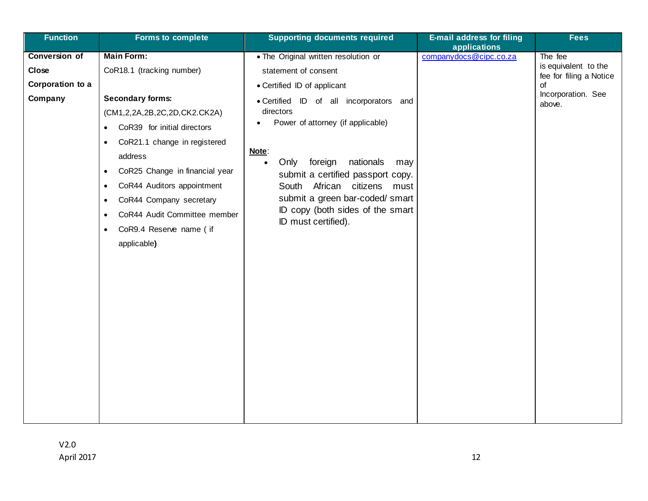| <b>Function</b>                                              | <b>Forms to complete</b>                                                                                                                                                                                                                                                                                                                                                                                                                     | <b>Supporting documents required</b>                                                                                                                                                                                                                                                                                                                                                                                    | <b>E-mail address for filing</b>       | <b>Fees</b>                                                                                      |
|--------------------------------------------------------------|----------------------------------------------------------------------------------------------------------------------------------------------------------------------------------------------------------------------------------------------------------------------------------------------------------------------------------------------------------------------------------------------------------------------------------------------|-------------------------------------------------------------------------------------------------------------------------------------------------------------------------------------------------------------------------------------------------------------------------------------------------------------------------------------------------------------------------------------------------------------------------|----------------------------------------|--------------------------------------------------------------------------------------------------|
| <b>Conversion of</b><br>Close<br>Corporation to a<br>Company | <b>Main Form:</b><br>CoR18.1 (tracking number)<br><b>Secondary forms:</b><br>(CM1,2,2A,2B,2C,2D,CK2.CK2A)<br>CoR39 for initial directors<br>$\bullet$<br>CoR21.1 change in registered<br>$\bullet$<br>address<br>CoR25 Change in financial year<br>$\bullet$<br>CoR44 Auditors appointment<br>$\bullet$<br>CoR44 Company secretary<br>٠<br>CoR44 Audit Committee member<br>$\bullet$<br>CoR9.4 Reserve name ( if<br>$\bullet$<br>applicable) | . The Original written resolution or<br>statement of consent<br>• Certified ID of applicant<br>· Certified ID of all incorporators and<br>directors<br>Power of attorney (if applicable)<br>Note:<br>Only<br>foreign<br>nationals<br>may<br>$\bullet$<br>submit a certified passport copy.<br>South African citizens must<br>submit a green bar-coded/ smart<br>ID copy (both sides of the smart<br>ID must certified). | applications<br>companydocs@cipc.co.za | The fee<br>is equivalent to the<br>fee for filing a Notice<br>of<br>Incorporation. See<br>above. |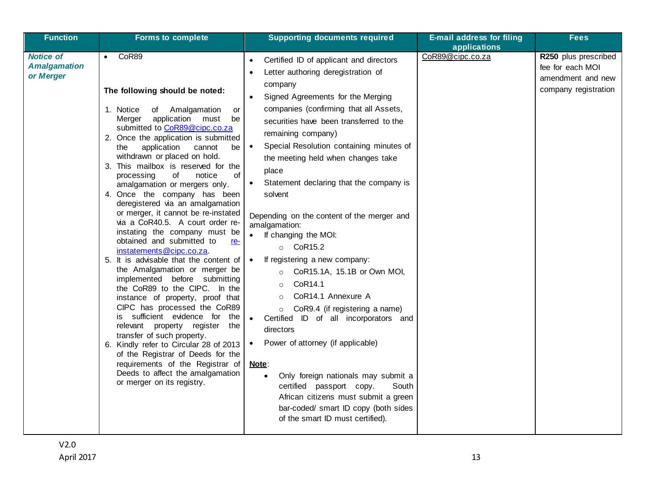| <b>Function</b>                                      | <b>Forms to complete</b>                                                                                                                                                                                                                                                                                                                                                                                                                                                                                                                                                                                                                                                                                                                                                                                                                                                                                                                                                                                                                                                                                                                                     | <b>Supporting documents required</b>                                                                                                                                                                                                                                                                                                                                                                                                                                                                                                                                                                                                                                                                                                                                                                                                                                                                                                                                                                                                              | <b>E-mail address for filing</b><br>applications | <b>Fees</b>                                                                           |
|------------------------------------------------------|--------------------------------------------------------------------------------------------------------------------------------------------------------------------------------------------------------------------------------------------------------------------------------------------------------------------------------------------------------------------------------------------------------------------------------------------------------------------------------------------------------------------------------------------------------------------------------------------------------------------------------------------------------------------------------------------------------------------------------------------------------------------------------------------------------------------------------------------------------------------------------------------------------------------------------------------------------------------------------------------------------------------------------------------------------------------------------------------------------------------------------------------------------------|---------------------------------------------------------------------------------------------------------------------------------------------------------------------------------------------------------------------------------------------------------------------------------------------------------------------------------------------------------------------------------------------------------------------------------------------------------------------------------------------------------------------------------------------------------------------------------------------------------------------------------------------------------------------------------------------------------------------------------------------------------------------------------------------------------------------------------------------------------------------------------------------------------------------------------------------------------------------------------------------------------------------------------------------------|--------------------------------------------------|---------------------------------------------------------------------------------------|
| <b>Notice of</b><br><b>Amalgamation</b><br>or Merger | CoR89<br>$\bullet$<br>The following should be noted:<br>1. Notice<br>of Amalgamation<br>or<br>application must<br>be<br>Merger<br>submitted to CoR89@cipc.co.za<br>2. Once the application is submitted<br>application<br>cannot<br>be<br>the<br>withdrawn or placed on hold.<br>3. This mailbox is reserved for the<br>οf<br>processing<br>of<br>notice<br>amalgamation or mergers only.<br>4. Once the company has been<br>deregistered via an amalgamation<br>or merger, it cannot be re-instated<br>via a CoR40.5. A court order re-<br>instating the company must be<br>obtained and submitted to<br><u>re-</u><br>instatements@cipc.co.za.<br>5. It is advisable that the content of<br>the Amalgamation or merger be<br>implemented before submitting<br>the CoR89 to the CIPC. In the<br>instance of property, proof that<br>CIPC has processed the CoR89<br>sufficient evidence for the<br>İS.<br>relevant property register the<br>transfer of such property.<br>6. Kindly refer to Circular 28 of 2013<br>of the Registrar of Deeds for the<br>requirements of the Registrar of<br>Deeds to affect the amalgamation<br>or merger on its registry. | Certified ID of applicant and directors<br>$\bullet$<br>Letter authoring deregistration of<br>company<br>Signed Agreements for the Merging<br>companies (confirming that all Assets,<br>securities have been transferred to the<br>remaining company)<br>Special Resolution containing minutes of<br>$\bullet$<br>the meeting held when changes take<br>place<br>Statement declaring that the company is<br>solvent<br>Depending on the content of the merger and<br>amalgamation:<br>If changing the MOI:<br>$\circ$ CoR15.2<br>If registering a new company:<br>$\bullet$<br>CoR15.1A, 15.1B or Own MOI,<br>$\circ$<br>CoR14.1<br>$\circ$<br>CoR14.1 Annexure A<br>$\circ$<br>CoR9.4 (if registering a name)<br>$\circ$<br>Certified ID of all incorporators and<br>directors<br>Power of attorney (if applicable)<br><u>Note:</u><br>Only foreign nationals may submit a<br>$\bullet$<br>certified passport copy.<br>South<br>African citizens must submit a green<br>bar-coded/ smart ID copy (both sides<br>of the smart ID must certified). | CoR89@cipc.co.za                                 | R250 plus prescribed<br>fee for each MOI<br>amendment and new<br>company registration |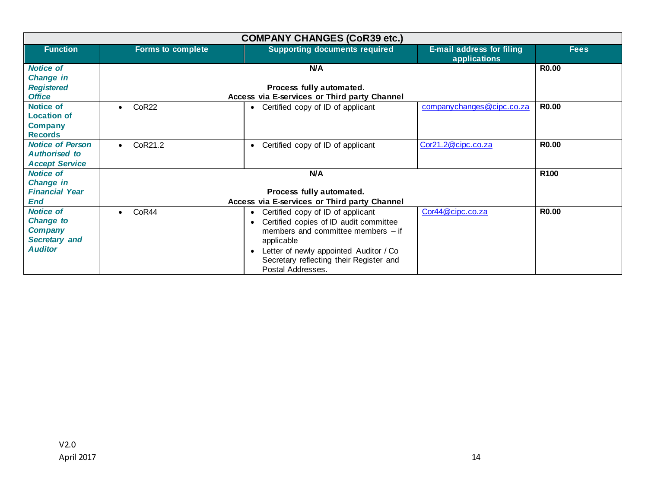|                                                                                                  |                          | <b>COMPANY CHANGES (CoR39 etc.)</b>                                                                                                                                                                                                                                                |                                                  |                  |
|--------------------------------------------------------------------------------------------------|--------------------------|------------------------------------------------------------------------------------------------------------------------------------------------------------------------------------------------------------------------------------------------------------------------------------|--------------------------------------------------|------------------|
| <b>Function</b>                                                                                  | <b>Forms to complete</b> | <b>Supporting documents required</b>                                                                                                                                                                                                                                               | <b>E-mail address for filing</b><br>applications | <b>Fees</b>      |
| <b>Notice of</b><br><b>Change in</b><br><b>Registered</b><br><b>Office</b>                       |                          | N/A<br>Process fully automated.<br>Access via E-services or Third party Channel                                                                                                                                                                                                    |                                                  | <b>R0.00</b>     |
| <b>Notice of</b><br><b>Location of</b><br><b>Company</b><br><b>Records</b>                       | CoR <sub>22</sub>        | Certified copy of ID of applicant<br>$\bullet$                                                                                                                                                                                                                                     | companychanges@cipc.co.za                        | <b>R0.00</b>     |
| <b>Notice of Person</b><br><b>Authorised to</b><br><b>Accept Service</b>                         | CoR21.2<br>$\bullet$     | Certified copy of ID of applicant<br>$\bullet$                                                                                                                                                                                                                                     | Cor21.2@cipc.co.za                               | <b>R0.00</b>     |
| <b>Notice of</b><br><b>Change in</b><br><b>Financial Year</b>                                    |                          | N/A<br>Process fully automated.                                                                                                                                                                                                                                                    |                                                  | R <sub>100</sub> |
| End                                                                                              |                          | Access via E-services or Third party Channel                                                                                                                                                                                                                                       |                                                  |                  |
| <b>Notice of</b><br><b>Change to</b><br><b>Company</b><br><b>Secretary and</b><br><b>Auditor</b> | CoR44                    | Certified copy of ID of applicant<br>$\bullet$<br>Certified copies of ID audit committee<br>$\bullet$<br>members and committee members $-$ if<br>applicable<br>Letter of newly appointed Auditor / Co<br>$\bullet$<br>Secretary reflecting their Register and<br>Postal Addresses. | Cor44@cipc.co.za                                 | <b>R0.00</b>     |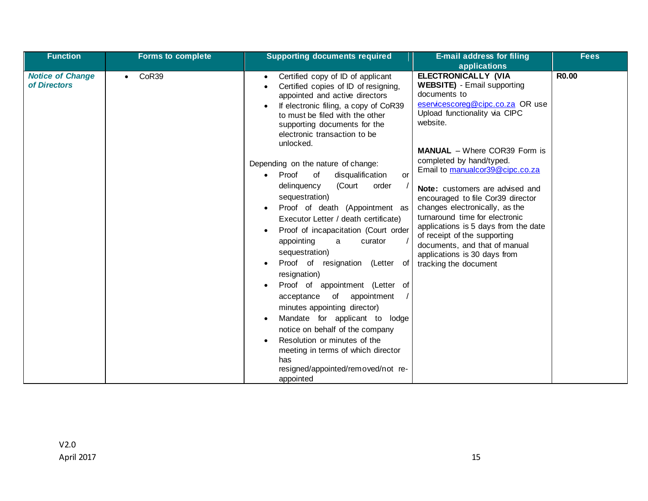| <b>Function</b>                         | <b>Forms to complete</b> | <b>Supporting documents required</b>                                                                                                                                                                                                                                                                                                                                                                                                                                                                                                                                                                                                                                                                                                                                                                                                                                                                                                                        | <b>E-mail address for filing</b>                                                                                                                                                                                                                                                                                                                                                                                                                                                                                                                                                      | <b>Fees</b>  |
|-----------------------------------------|--------------------------|-------------------------------------------------------------------------------------------------------------------------------------------------------------------------------------------------------------------------------------------------------------------------------------------------------------------------------------------------------------------------------------------------------------------------------------------------------------------------------------------------------------------------------------------------------------------------------------------------------------------------------------------------------------------------------------------------------------------------------------------------------------------------------------------------------------------------------------------------------------------------------------------------------------------------------------------------------------|---------------------------------------------------------------------------------------------------------------------------------------------------------------------------------------------------------------------------------------------------------------------------------------------------------------------------------------------------------------------------------------------------------------------------------------------------------------------------------------------------------------------------------------------------------------------------------------|--------------|
|                                         |                          |                                                                                                                                                                                                                                                                                                                                                                                                                                                                                                                                                                                                                                                                                                                                                                                                                                                                                                                                                             | applications                                                                                                                                                                                                                                                                                                                                                                                                                                                                                                                                                                          |              |
| <b>Notice of Change</b><br>of Directors | CoR39                    | Certified copy of ID of applicant<br>Certified copies of ID of resigning,<br>appointed and active directors<br>If electronic filing, a copy of CoR39<br>to must be filed with the other<br>supporting documents for the<br>electronic transaction to be<br>unlocked.<br>Depending on the nature of change:<br>Proof<br>of<br>disqualification<br><b>or</b><br>$\bullet$<br>delinquency<br>(Court<br>order<br>sequestration)<br>Proof of death (Appointment as<br>Executor Letter / death certificate)<br>Proof of incapacitation (Court order<br>appointing<br>curator<br>a<br>sequestration)<br>Proof of resignation (Letter of<br>resignation)<br>Proof of appointment (Letter of<br>of<br>appointment<br>acceptance<br>minutes appointing director)<br>Mandate for applicant to lodge<br>notice on behalf of the company<br>Resolution or minutes of the<br>meeting in terms of which director<br>has<br>resigned/appointed/removed/not re-<br>appointed | <b>ELECTRONICALLY (VIA</b><br><b>WEBSITE)</b> - Email supporting<br>documents to<br>eservicescoreg@cipc.co.za OR use<br>Upload functionality via CIPC<br>website.<br><b>MANUAL</b> – Where COR39 Form is<br>completed by hand/typed.<br>Email to manualcor39@cipc.co.za<br>Note: customers are advised and<br>encouraged to file Cor39 director<br>changes electronically, as the<br>turnaround time for electronic<br>applications is 5 days from the date<br>of receipt of the supporting<br>documents, and that of manual<br>applications is 30 days from<br>tracking the document | <b>R0.00</b> |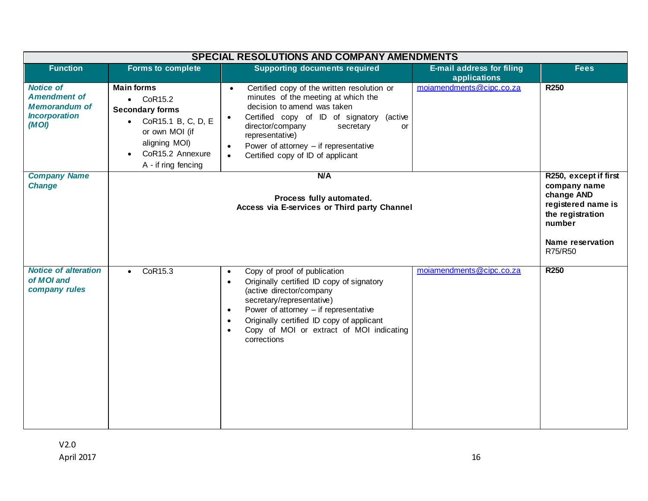|                                                                                                  | <b>SPECIAL RESOLUTIONS AND COMPANY AMENDMENTS</b>                                                                                                                                 |                                                                                                                                                                                                                                                                                                                                                                     |                                                  |                                                                                                                                               |
|--------------------------------------------------------------------------------------------------|-----------------------------------------------------------------------------------------------------------------------------------------------------------------------------------|---------------------------------------------------------------------------------------------------------------------------------------------------------------------------------------------------------------------------------------------------------------------------------------------------------------------------------------------------------------------|--------------------------------------------------|-----------------------------------------------------------------------------------------------------------------------------------------------|
| <b>Function</b>                                                                                  | <b>Forms to complete</b>                                                                                                                                                          | <b>Supporting documents required</b>                                                                                                                                                                                                                                                                                                                                | <b>E-mail address for filing</b><br>applications | <b>Fees</b>                                                                                                                                   |
| <b>Notice of</b><br><b>Amendment of</b><br><b>Memorandum of</b><br><b>Incorporation</b><br>(MOI) | <b>Main forms</b><br>$\bullet$ CoR15.2<br><b>Secondary forms</b><br>CoR15.1 B, C, D, E<br>$\bullet$<br>or own MOI (if<br>aligning MOI)<br>CoR15.2 Annexure<br>A - if ring fencing | Certified copy of the written resolution or<br>$\bullet$<br>minutes of the meeting at which the<br>decision to amend was taken<br>Certified copy of ID of signatory (active<br>$\bullet$<br>director/company<br>secretary<br><b>or</b><br>representative)<br>Power of attorney $-$ if representative<br>$\bullet$<br>Certified copy of ID of applicant<br>$\bullet$ | moiamendments@cipc.co.za                         | <b>R250</b>                                                                                                                                   |
| <b>Company Name</b><br><b>Change</b>                                                             |                                                                                                                                                                                   | N/A<br>Process fully automated.<br>Access via E-services or Third party Channel                                                                                                                                                                                                                                                                                     |                                                  | R250, except if first<br>company name<br>change AND<br>registered name is<br>the registration<br>number<br><b>Name reservation</b><br>R75/R50 |
| <b>Notice of alteration</b><br>of MOI and<br>company rules                                       | CoR15.3<br>$\bullet$                                                                                                                                                              | Copy of proof of publication<br>$\bullet$<br>Originally certified ID copy of signatory<br>$\bullet$<br>(active director/company<br>secretary/representative)<br>Power of attorney $-$ if representative<br>$\bullet$<br>Originally certified ID copy of applicant<br>$\bullet$<br>Copy of MOI or extract of MOI indicating<br>$\bullet$<br>corrections              | moiamendments@cipc.co.za                         | <b>R250</b>                                                                                                                                   |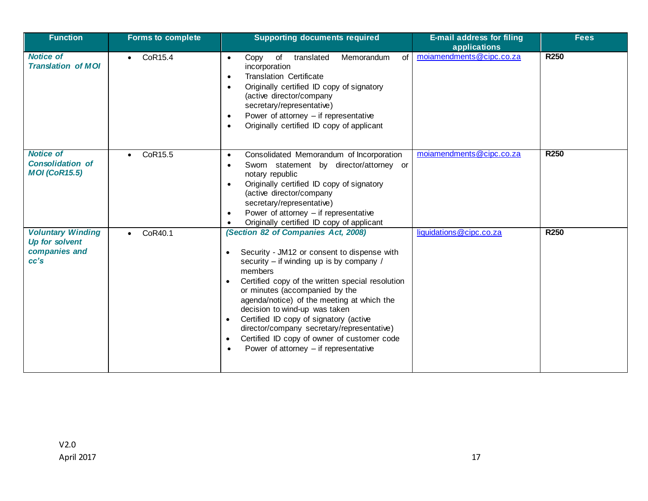| <b>Function</b>                                                     | <b>Forms to complete</b> | <b>Supporting documents required</b>                                                                                                                                                                                                                                                                                                                                                                                                                                                                                                                              | <b>E-mail address for filing</b><br>applications | <b>Fees</b>      |
|---------------------------------------------------------------------|--------------------------|-------------------------------------------------------------------------------------------------------------------------------------------------------------------------------------------------------------------------------------------------------------------------------------------------------------------------------------------------------------------------------------------------------------------------------------------------------------------------------------------------------------------------------------------------------------------|--------------------------------------------------|------------------|
| <b>Notice of</b><br><b>Translation of MOI</b>                       | CoR15.4<br>$\bullet$     | of<br>of<br>Memorandum<br>Copy<br>translated<br>$\bullet$<br>incorporation<br><b>Translation Certificate</b><br>$\bullet$<br>Originally certified ID copy of signatory<br>$\bullet$<br>(active director/company<br>secretary/representative)<br>Power of attorney $-$ if representative<br>$\bullet$<br>Originally certified ID copy of applicant<br>$\bullet$                                                                                                                                                                                                    | moiamendments@cipc.co.za                         | <b>R250</b>      |
| <b>Notice of</b><br><b>Consolidation of</b><br><b>MOI</b> (CoR15.5) | CoR15.5<br>$\bullet$     | Consolidated Memorandum of Incorporation<br>$\bullet$<br>Sworn statement by director/attorney or<br>$\bullet$<br>notary republic<br>Originally certified ID copy of signatory<br>$\bullet$<br>(active director/company<br>secretary/representative)<br>Power of attorney $-$ if representative<br>$\bullet$<br>Originally certified ID copy of applicant<br>$\bullet$                                                                                                                                                                                             | moiamendments@cipc.co.za                         | R <sub>250</sub> |
| <b>Voluntary Winding</b><br>Up for solvent<br>companies and<br>cc's | CoR40.1<br>$\bullet$     | (Section 82 of Companies Act, 2008)<br>Security - JM12 or consent to dispense with<br>$\bullet$<br>security - if winding up is by company /<br>members<br>Certified copy of the written special resolution<br>$\bullet$<br>or minutes (accompanied by the<br>agenda/notice) of the meeting at which the<br>decision to wind-up was taken<br>Certified ID copy of signatory (active<br>$\bullet$<br>director/company secretary/representative)<br>Certified ID copy of owner of customer code<br>$\bullet$<br>Power of attorney $-$ if representative<br>$\bullet$ | liquidations@cipc.co.za                          | <b>R250</b>      |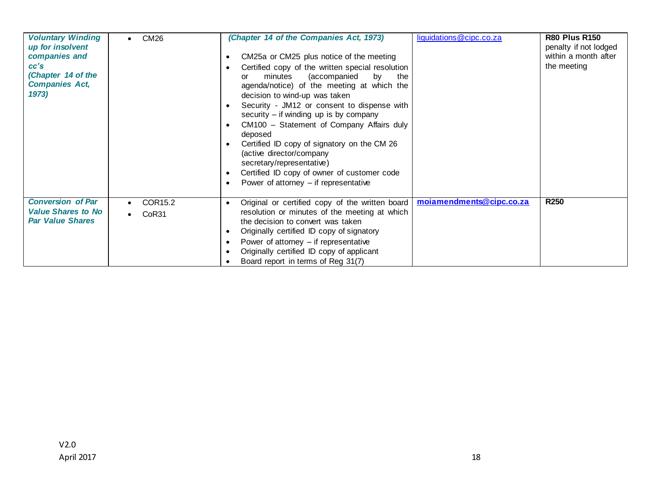| <b>Voluntary Winding</b><br>up for insolvent<br>companies and<br>cc's<br>(Chapter 14 of the<br><b>Companies Act,</b><br>1973) | CM26<br>$\bullet$ | (Chapter 14 of the Companies Act, 1973)<br>CM25a or CM25 plus notice of the meeting<br>٠<br>Certified copy of the written special resolution<br>(accompanied<br>minutes<br>by<br>the<br>or<br>agenda/notice) of the meeting at which the<br>decision to wind-up was taken<br>Security - JM12 or consent to dispense with<br>$\bullet$<br>security $-$ if winding up is by company<br>CM100 - Statement of Company Affairs duly<br>$\bullet$<br>deposed<br>Certified ID copy of signatory on the CM 26<br>$\bullet$<br>(active director/company<br>secretary/representative)<br>Certified ID copy of owner of customer code<br>$\bullet$<br>Power of attorney $-$ if representative<br>$\bullet$ | liquidations@cipc.co.za  | <b>R80 Plus R150</b><br>penalty if not lodged<br>within a month after<br>the meeting |
|-------------------------------------------------------------------------------------------------------------------------------|-------------------|-------------------------------------------------------------------------------------------------------------------------------------------------------------------------------------------------------------------------------------------------------------------------------------------------------------------------------------------------------------------------------------------------------------------------------------------------------------------------------------------------------------------------------------------------------------------------------------------------------------------------------------------------------------------------------------------------|--------------------------|--------------------------------------------------------------------------------------|
| <b>Conversion of Par</b><br><b>Value Shares to No</b><br><b>Par Value Shares</b>                                              | COR15.2<br>CoR31  | Original or certified copy of the written board<br>$\bullet$<br>resolution or minutes of the meeting at which<br>the decision to convert was taken<br>Originally certified ID copy of signatory<br>$\bullet$<br>Power of attorney $-$ if representative<br>$\bullet$<br>Originally certified ID copy of applicant<br>$\bullet$<br>Board report in terms of Reg 31(7)                                                                                                                                                                                                                                                                                                                            | moiamendments@cipc.co.za | R <sub>250</sub>                                                                     |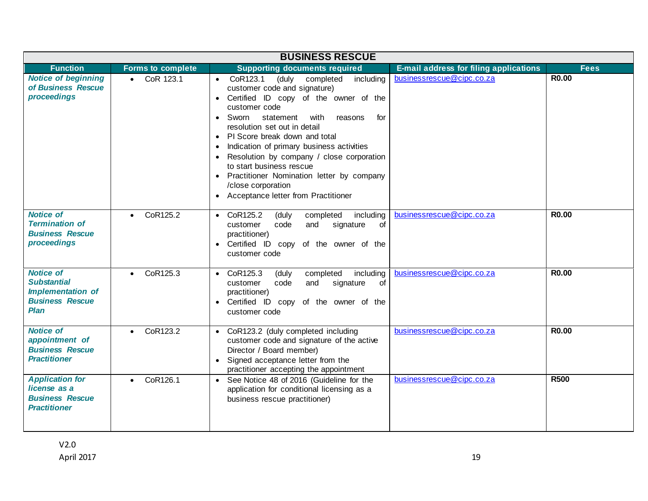|                                                                                                             |                          | <b>BUSINESS RESCUE</b>                                                                                                                                                                                                                                                                                                                                                                                                                                                                                                                    |                                        |              |
|-------------------------------------------------------------------------------------------------------------|--------------------------|-------------------------------------------------------------------------------------------------------------------------------------------------------------------------------------------------------------------------------------------------------------------------------------------------------------------------------------------------------------------------------------------------------------------------------------------------------------------------------------------------------------------------------------------|----------------------------------------|--------------|
| <b>Function</b>                                                                                             | <b>Forms to complete</b> | <b>Supporting documents required</b>                                                                                                                                                                                                                                                                                                                                                                                                                                                                                                      | E-mail address for filing applications | <b>Fees</b>  |
| <b>Notice of beginning</b><br>of Business Rescue<br>proceedings                                             | CoR 123.1                | (duly completed<br>CoR123.1<br>including<br>$\bullet$<br>customer code and signature)<br>Certified ID copy of the owner of the<br>$\bullet$<br>customer code<br>statement<br>with<br>Sworn<br>reasons<br>for<br>$\bullet$<br>resolution set out in detail<br>PI Score break down and total<br>$\bullet$<br>Indication of primary business activities<br>Resolution by company / close corporation<br>to start business rescue<br>Practitioner Nomination letter by company<br>/close corporation<br>• Acceptance letter from Practitioner | businessrescue@cipc.co.za              | <b>R0.00</b> |
| <b>Notice of</b><br><b>Termination of</b><br><b>Business Rescue</b><br>proceedings                          | CoR125.2<br>$\bullet$    | $\bullet$ CoR125.2<br>completed<br>including<br>(duly<br>code<br>and<br>customer<br>signature<br>of<br>practitioner)<br>• Certified ID copy of the owner of the<br>customer code                                                                                                                                                                                                                                                                                                                                                          | businessrescue@cipc.co.za              | <b>R0.00</b> |
| <b>Notice of</b><br><b>Substantial</b><br><b>Implementation of</b><br><b>Business Rescue</b><br><b>Plan</b> | CoR125.3<br>$\bullet$    | CoR125.3<br>completed<br>including<br>(duly<br>$\bullet$<br>code<br>and<br>signature<br>of<br>customer<br>practitioner)<br>Certified ID copy of the owner of the<br>$\bullet$<br>customer code                                                                                                                                                                                                                                                                                                                                            | businessrescue@cipc.co.za              | <b>R0.00</b> |
| <b>Notice of</b><br>appointment of<br><b>Business Rescue</b><br><b>Practitioner</b>                         | CoR123.2<br>$\bullet$    | • CoR123.2 (duly completed including<br>customer code and signature of the active<br>Director / Board member)<br>Signed acceptance letter from the<br>practitioner accepting the appointment                                                                                                                                                                                                                                                                                                                                              | businessrescue@cipc.co.za              | <b>R0.00</b> |
| <b>Application for</b><br>license as a<br><b>Business Rescue</b><br><b>Practitioner</b>                     | CoR126.1<br>$\bullet$    | See Notice 48 of 2016 (Guideline for the<br>application for conditional licensing as a<br>business rescue practitioner)                                                                                                                                                                                                                                                                                                                                                                                                                   | businessrescue@cipc.co.za              | <b>R500</b>  |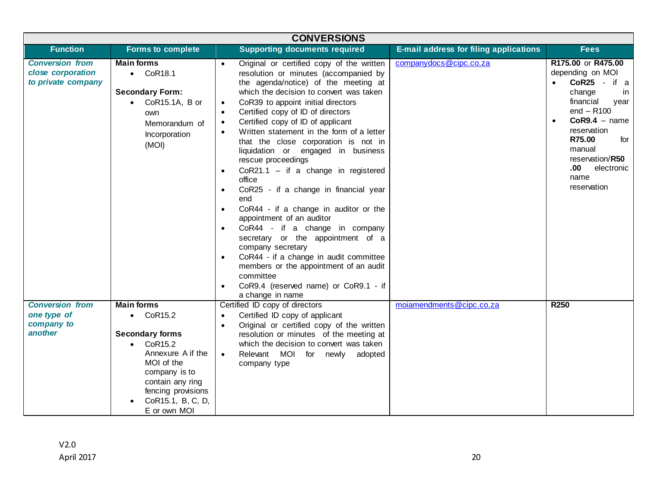| <b>CONVERSIONS</b>                                                |                                                                                                                                                                                |                                                                                                                                                                                                                                                                                                                                                                                                                                                                                                                                                                                                                                                                                                                                                                                                                                                                                                                                                                                                                          |                                        |                                                                                                                                                                                                                                           |
|-------------------------------------------------------------------|--------------------------------------------------------------------------------------------------------------------------------------------------------------------------------|--------------------------------------------------------------------------------------------------------------------------------------------------------------------------------------------------------------------------------------------------------------------------------------------------------------------------------------------------------------------------------------------------------------------------------------------------------------------------------------------------------------------------------------------------------------------------------------------------------------------------------------------------------------------------------------------------------------------------------------------------------------------------------------------------------------------------------------------------------------------------------------------------------------------------------------------------------------------------------------------------------------------------|----------------------------------------|-------------------------------------------------------------------------------------------------------------------------------------------------------------------------------------------------------------------------------------------|
| <b>Function</b>                                                   | <b>Forms to complete</b>                                                                                                                                                       | <b>Supporting documents required</b>                                                                                                                                                                                                                                                                                                                                                                                                                                                                                                                                                                                                                                                                                                                                                                                                                                                                                                                                                                                     | E-mail address for filing applications | <b>Fees</b>                                                                                                                                                                                                                               |
| <b>Conversion from</b><br>close corporation<br>to private company | <b>Main forms</b><br>$\bullet$ CoR18.1<br><b>Secondary Form:</b><br>• $CoR15.1A, B$ or<br>own<br>Memorandum of<br>Incorporation<br>(MOI)                                       | Original or certified copy of the written<br>$\bullet$<br>resolution or minutes (accompanied by<br>the agenda/notice) of the meeting at<br>which the decision to convert was taken<br>CoR39 to appoint initial directors<br>$\bullet$<br>Certified copy of ID of directors<br>$\bullet$<br>Certified copy of ID of applicant<br>$\bullet$<br>Written statement in the form of a letter<br>$\bullet$<br>that the close corporation is not in<br>liquidation or engaged in business<br>rescue proceedings<br>$CoR21.1 - if a change in registered$<br>$\bullet$<br>office<br>CoR25 - if a change in financial year<br>$\bullet$<br>end<br>CoR44 - if a change in auditor or the<br>$\bullet$<br>appointment of an auditor<br>CoR44 - if a change in company<br>$\bullet$<br>secretary or the appointment of a<br>company secretary<br>CoR44 - if a change in audit committee<br>$\bullet$<br>members or the appointment of an audit<br>committee<br>CoR9.4 (reserved name) or CoR9.1 - if<br>$\bullet$<br>a change in name | companydocs@cipc.co.za                 | R175.00 or R475.00<br>depending on MOI<br>$CoR25 - if a$<br>change<br>in<br>financial<br>year<br>$end - R100$<br>$CoR9.4 - name$<br>reservation<br>R75.00<br>for<br>manual<br>reservation/R50<br>.00<br>electronic<br>name<br>reservation |
| <b>Conversion from</b><br>one type of                             | <b>Main forms</b><br>$\bullet$ CoR15.2                                                                                                                                         | Certified ID copy of directors<br>Certified ID copy of applicant<br>$\bullet$                                                                                                                                                                                                                                                                                                                                                                                                                                                                                                                                                                                                                                                                                                                                                                                                                                                                                                                                            | moiamendments@cipc.co.za               | R <sub>250</sub>                                                                                                                                                                                                                          |
| company to<br>another                                             | <b>Secondary forms</b><br>$\bullet$ CoR15.2<br>Annexure A if the<br>MOI of the<br>company is to<br>contain any ring<br>fencing provisions<br>CoR15.1, B, C, D,<br>E or own MOI | Original or certified copy of the written<br>$\bullet$<br>resolution or minutes of the meeting at<br>which the decision to convert was taken<br>Relevant MOI for newly<br>adopted<br>$\bullet$<br>company type                                                                                                                                                                                                                                                                                                                                                                                                                                                                                                                                                                                                                                                                                                                                                                                                           |                                        |                                                                                                                                                                                                                                           |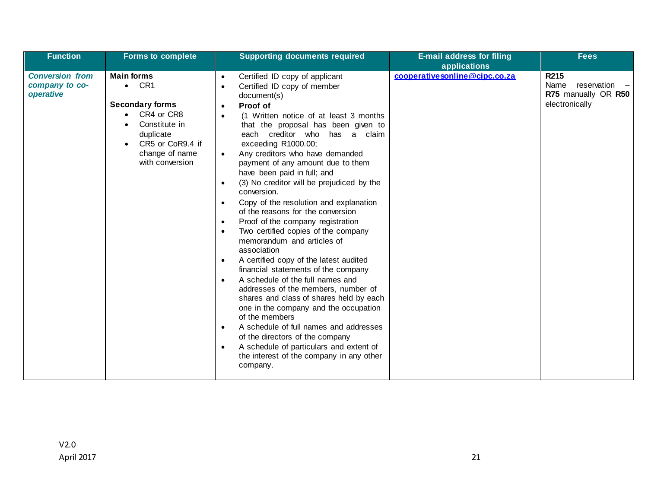| <b>Function</b>                                       | <b>Forms to complete</b>                                                                                                                                          | <b>Supporting documents required</b>                                                                                                                                                                                                                                                                                                                                                                                                                                                                                                                                                                                                                                                                                                                                                                                                                                                                                                                                                                                                                                                                                                                                                                                                    | <b>E-mail address for filing</b><br>applications | <b>Fees</b>                                                            |
|-------------------------------------------------------|-------------------------------------------------------------------------------------------------------------------------------------------------------------------|-----------------------------------------------------------------------------------------------------------------------------------------------------------------------------------------------------------------------------------------------------------------------------------------------------------------------------------------------------------------------------------------------------------------------------------------------------------------------------------------------------------------------------------------------------------------------------------------------------------------------------------------------------------------------------------------------------------------------------------------------------------------------------------------------------------------------------------------------------------------------------------------------------------------------------------------------------------------------------------------------------------------------------------------------------------------------------------------------------------------------------------------------------------------------------------------------------------------------------------------|--------------------------------------------------|------------------------------------------------------------------------|
| <b>Conversion from</b><br>company to co-<br>operative | <b>Main forms</b><br>$\bullet$ CR1<br><b>Secondary forms</b><br>CR4 or CR8<br>Constitute in<br>duplicate<br>CR5 or CoR9.4 if<br>change of name<br>with conversion | Certified ID copy of applicant<br>$\bullet$<br>Certified ID copy of member<br>$\bullet$<br>document(s)<br>Proof of<br>$\bullet$<br>(1 Written notice of at least 3 months<br>$\bullet$<br>that the proposal has been given to<br>each creditor who has a claim<br>exceeding R1000.00;<br>Any creditors who have demanded<br>$\bullet$<br>payment of any amount due to them<br>have been paid in full; and<br>(3) No creditor will be prejudiced by the<br>$\bullet$<br>conversion.<br>Copy of the resolution and explanation<br>$\bullet$<br>of the reasons for the conversion<br>Proof of the company registration<br>$\bullet$<br>Two certified copies of the company<br>$\bullet$<br>memorandum and articles of<br>association<br>A certified copy of the latest audited<br>$\bullet$<br>financial statements of the company<br>A schedule of the full names and<br>$\bullet$<br>addresses of the members, number of<br>shares and class of shares held by each<br>one in the company and the occupation<br>of the members<br>A schedule of full names and addresses<br>$\bullet$<br>of the directors of the company<br>A schedule of particulars and extent of<br>$\bullet$<br>the interest of the company in any other<br>company. | cooperativesonline@cipc.co.za                    | R215<br>reservation -<br>Name<br>R75 manually OR R50<br>electronically |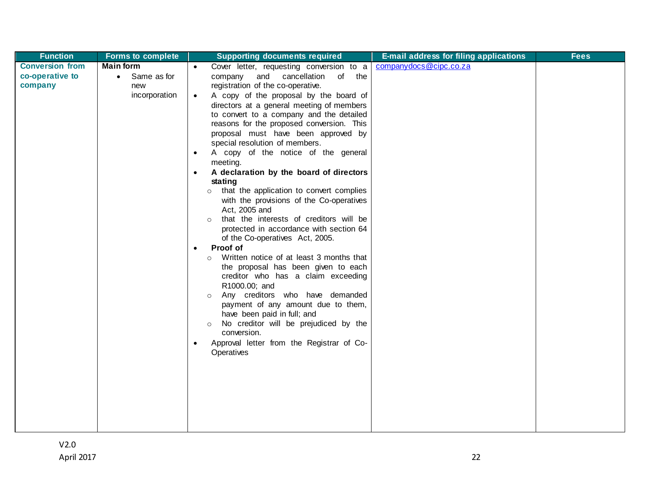| <b>Function</b>        | <b>Forms to complete</b> | <b>Supporting documents required</b>                                                  | <b>E-mail address for filing applications</b> | <b>Fees</b> |
|------------------------|--------------------------|---------------------------------------------------------------------------------------|-----------------------------------------------|-------------|
| <b>Conversion from</b> | <b>Main form</b>         | Cover letter, requesting conversion to a<br>$\bullet$                                 | companydocs@cipc.co.za                        |             |
| co-operative to        | • Same as for            | and cancellation<br>company<br>of the                                                 |                                               |             |
| company                | new                      | registration of the co-operative.                                                     |                                               |             |
|                        | incorporation            | A copy of the proposal by the board of<br>$\bullet$                                   |                                               |             |
|                        |                          | directors at a general meeting of members<br>to convert to a company and the detailed |                                               |             |
|                        |                          | reasons for the proposed conversion. This                                             |                                               |             |
|                        |                          | proposal must have been approved by                                                   |                                               |             |
|                        |                          | special resolution of members.                                                        |                                               |             |
|                        |                          | A copy of the notice of the general                                                   |                                               |             |
|                        |                          | meeting.                                                                              |                                               |             |
|                        |                          | A declaration by the board of directors                                               |                                               |             |
|                        |                          | stating                                                                               |                                               |             |
|                        |                          | o that the application to convert complies                                            |                                               |             |
|                        |                          | with the provisions of the Co-operatives                                              |                                               |             |
|                        |                          | Act, 2005 and<br>that the interests of creditors will be                              |                                               |             |
|                        |                          | protected in accordance with section 64                                               |                                               |             |
|                        |                          | of the Co-operatives Act, 2005.                                                       |                                               |             |
|                        |                          | Proof of                                                                              |                                               |             |
|                        |                          | Written notice of at least 3 months that<br>$\circ$                                   |                                               |             |
|                        |                          | the proposal has been given to each                                                   |                                               |             |
|                        |                          | creditor who has a claim exceeding                                                    |                                               |             |
|                        |                          | R1000.00; and                                                                         |                                               |             |
|                        |                          | Any creditors who have demanded<br>$\circ$                                            |                                               |             |
|                        |                          | payment of any amount due to them,<br>have been paid in full; and                     |                                               |             |
|                        |                          | No creditor will be prejudiced by the<br>$\circ$                                      |                                               |             |
|                        |                          | conversion.                                                                           |                                               |             |
|                        |                          | Approval letter from the Registrar of Co-                                             |                                               |             |
|                        |                          | Operatives                                                                            |                                               |             |
|                        |                          |                                                                                       |                                               |             |
|                        |                          |                                                                                       |                                               |             |
|                        |                          |                                                                                       |                                               |             |
|                        |                          |                                                                                       |                                               |             |
|                        |                          |                                                                                       |                                               |             |
|                        |                          |                                                                                       |                                               |             |
|                        |                          |                                                                                       |                                               |             |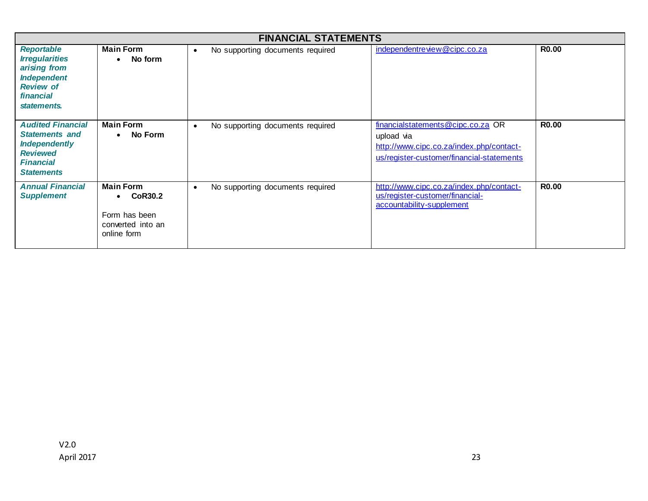|                                                                                                                                       |                                                                                                      | <b>FINANCIAL STATEMENTS</b>                   |                                                                                                                                          |              |
|---------------------------------------------------------------------------------------------------------------------------------------|------------------------------------------------------------------------------------------------------|-----------------------------------------------|------------------------------------------------------------------------------------------------------------------------------------------|--------------|
| <b>Reportable</b><br><b>Irregularities</b><br>arising from<br><b>Independent</b><br><b>Review of</b><br>financial<br>statements.      | <b>Main Form</b><br>No form<br>$\bullet$                                                             | No supporting documents required<br>$\bullet$ | independentreview@cipc.co.za                                                                                                             | <b>R0.00</b> |
| <b>Audited Financial</b><br><b>Statements and</b><br><b>Independently</b><br><b>Reviewed</b><br><b>Financial</b><br><b>Statements</b> | <b>Main Form</b><br>• No Form                                                                        | No supporting documents required<br>$\bullet$ | financialstatements@cipc.co.za OR<br>upload via<br>http://www.cipc.co.za/index.php/contact-<br>us/register-customer/financial-statements | <b>R0.00</b> |
| <b>Annual Financial</b><br><b>Supplement</b>                                                                                          | <b>Main Form</b><br><b>CoR30.2</b><br>$\bullet$<br>Form has been<br>converted into an<br>online form | No supporting documents required<br>$\bullet$ | http://www.cipc.co.za/index.php/contact-<br>us/register-customer/financial-<br>accountability-supplement                                 | <b>R0.00</b> |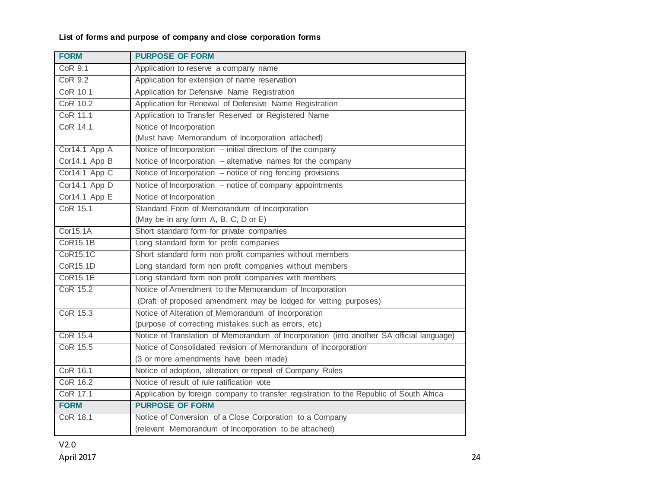## **List of forms and purpose of company and close corporation forms**

| <b>FORM</b>     | <b>PURPOSE OF FORM</b>                                                                   |
|-----------------|------------------------------------------------------------------------------------------|
| <b>CoR 9.1</b>  | Application to reserve a company name                                                    |
| <b>CoR 9.2</b>  | Application for extension of name reservation                                            |
| CoR 10.1        | Application for Defensive Name Registration                                              |
| <b>CoR 10.2</b> | Application for Renewal of Defensive Name Registration                                   |
| CoR 11.1        | Application to Transfer Reserved or Registered Name                                      |
| CoR 14.1        | Notice of Incorporation                                                                  |
|                 | (Must have Memorandum of Incorporation attached)                                         |
| Cor14.1 App A   | Notice of Incorporation - initial directors of the company                               |
| Cor14.1 App B   | Notice of Incorporation - alternative names for the company                              |
| Cor14.1 App C   | Notice of Incorporation - notice of ring fencing provisions                              |
| Cor14.1 App D   | Notice of Incorporation - notice of company appointments                                 |
| Cor14.1 App E   | Notice of Incorporation                                                                  |
| CoR 15.1        | Standard Form of Memorandum of Incorporation                                             |
|                 | (May be in any form A, B, C, D or E)                                                     |
| Cor15.1A        | Short standard form for private companies                                                |
| <b>CoR15.1B</b> | Long standard form for profit companies                                                  |
| <b>CoR15.1C</b> | Short standard form non profit companies without members                                 |
| CoR15.1D        | Long standard form non profit companies without members                                  |
| CoR15.1E        | Long standard form non profit companies with members                                     |
| <b>CoR 15.2</b> | Notice of Amendment to the Memorandum of Incorporation                                   |
|                 | (Draft of proposed amendment may be lodged for vetting purposes)                         |
| CoR 15.3        | Notice of Alteration of Memorandum of Incorporation                                      |
|                 | (purpose of correcting mistakes such as errors, etc)                                     |
| CoR 15.4        | Notice of Translation of Memorandum of Incorporation (into another SA official language) |
| CoR 15.5        | Notice of Consolidated revision of Memorandum of Incorporation                           |
|                 | (3 or more amendments have been made)                                                    |
| CoR 16.1        | Notice of adoption, alteration or repeal of Company Rules                                |
| CoR 16.2        | Notice of result of rule ratification vote                                               |
| CoR 17.1        | Application by foreign company to transfer registration to the Republic of South Africa  |
| <b>FORM</b>     | <b>PURPOSE OF FORM</b>                                                                   |
| <b>CoR 18.1</b> | Notice of Conversion of a Close Corporation to a Company                                 |
|                 | (relevant Memorandum of Incorporation to be attached)                                    |

V2.0